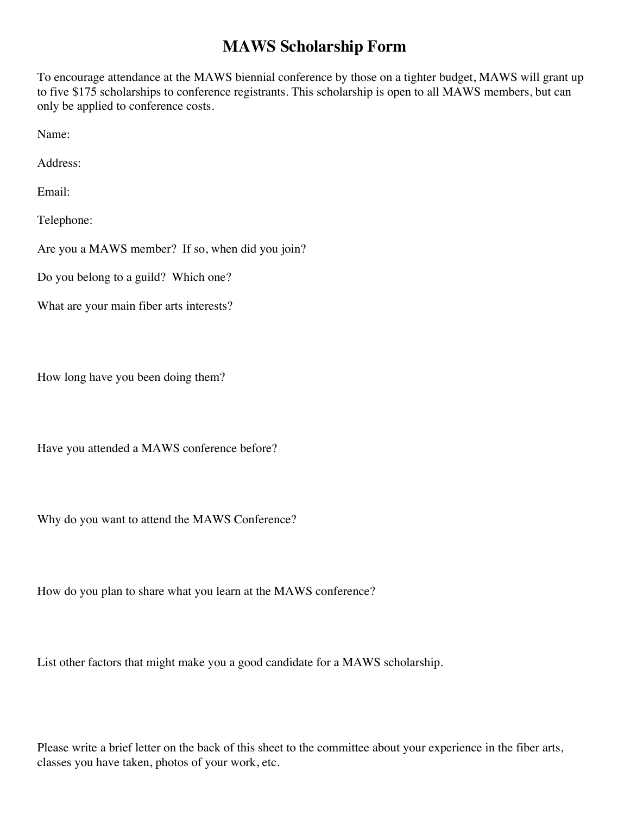## **MAWS Scholarship Form**

To encourage attendance at the MAWS biennial conference by those on a tighter budget, MAWS will grant up to five \$175 scholarships to conference registrants. This scholarship is open to all MAWS members, but can only be applied to conference costs.

Name:

Address:

Email:

Telephone:

Are you a MAWS member? If so, when did you join?

Do you belong to a guild? Which one?

What are your main fiber arts interests?

How long have you been doing them?

Have you attended a MAWS conference before?

Why do you want to attend the MAWS Conference?

How do you plan to share what you learn at the MAWS conference?

List other factors that might make you a good candidate for a MAWS scholarship.

Please write a brief letter on the back of this sheet to the committee about your experience in the fiber arts, classes you have taken, photos of your work, etc.